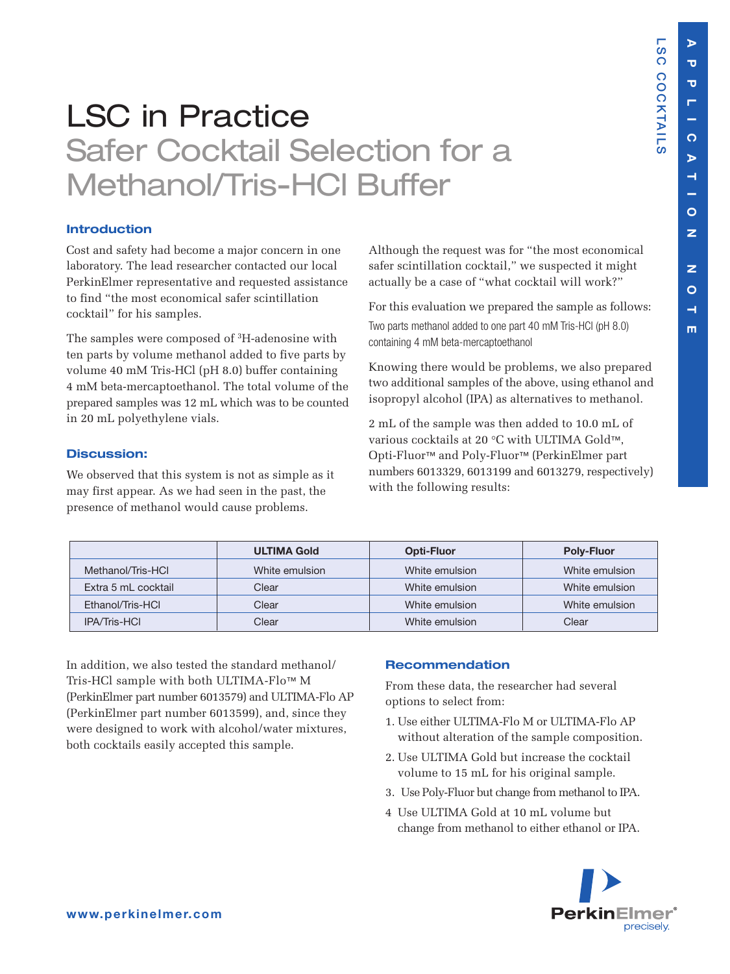**L S C**

**C O C**

**K T AIL S**

## LSC in Practice Safer Cocktail Selection for a Methanol/Tris-HCl Buffer

## **Introduction**

Cost and safety had become a major concern in one laboratory. The lead researcher contacted our local PerkinElmer representative and requested assistance to find "the most economical safer scintillation cocktail" for his samples.

The samples were composed of 3H-adenosine with ten parts by volume methanol added to five parts by volume 40 mM Tris-HCl (pH 8.0) buffer containing 4 mM beta-mercaptoethanol. The total volume of the prepared samples was 12 mL which was to be counted in 20 mL polyethylene vials.

## **Discussion:**

We observed that this system is not as simple as it may first appear. As we had seen in the past, the presence of methanol would cause problems.

Although the request was for "the most economical safer scintillation cocktail," we suspected it might actually be a case of "what cocktail will work?"

For this evaluation we prepared the sample as follows: Two parts methanol added to one part 40 mM Tris-HCl (pH 8.0) containing 4 mM beta-mercaptoethanol

Knowing there would be problems, we also prepared two additional samples of the above, using ethanol and isopropyl alcohol (IPA) as alternatives to methanol.

2 mL of the sample was then added to 10.0 mL of various cocktails at 20 °C with ULTIMA Gold™, Opti-Fluor™ and Poly-Fluor™ (PerkinElmer part numbers 6013329, 6013199 and 6013279, respectively) with the following results:

|                     | <b>ULTIMA Gold</b> | <b>Opti-Fluor</b> | <b>Poly-Fluor</b> |
|---------------------|--------------------|-------------------|-------------------|
| Methanol/Tris-HCl   | White emulsion     | White emulsion    | White emulsion    |
| Extra 5 mL cocktail | Clear              | White emulsion    | White emulsion    |
| Ethanol/Tris-HCI    | Clear              | White emulsion    | White emulsion    |
| <b>IPA/Tris-HCI</b> | Clear              | White emulsion    | Clear             |

In addition, we also tested the standard methanol/ Tris-HCl sample with both ULTIMA-Flo™ M (PerkinElmer part number 6013579) and ULTIMA-Flo AP (PerkinElmer part number 6013599), and, since they were designed to work with alcohol/water mixtures, both cocktails easily accepted this sample.

## **Recommendation**

From these data, the researcher had several options to select from:

- 1. Use either ULTIMA-Flo M or ULTIMA-Flo AP without alteration of the sample composition.
- 2. Use ULTIMA Gold but increase the cocktail volume to 15 mL for his original sample.
- 3. Use Poly-Fluor but change from methanol to IPA.
- 4 Use ULTIMA Gold at 10 mL volume but change from methanol to either ethanol or IPA.